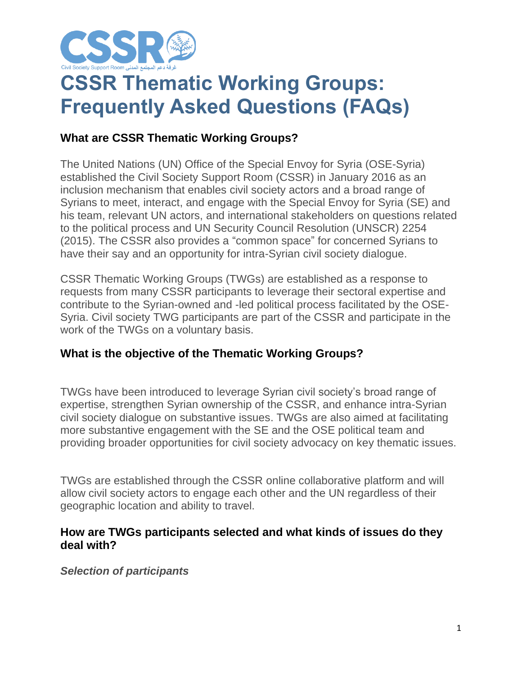

# **CSSR Thematic Working Groups: Frequently Asked Questions (FAQs)**

# **What are CSSR Thematic Working Groups?**

The United Nations (UN) Office of the Special Envoy for Syria (OSE-Syria) established the Civil Society Support Room (CSSR) in January 2016 as an inclusion mechanism that enables civil society actors and a broad range of Syrians to meet, interact, and engage with the Special Envoy for Syria (SE) and his team, relevant UN actors, and international stakeholders on questions related to the political process and UN Security Council Resolution (UNSCR) 2254 (2015). The CSSR also provides a "common space" for concerned Syrians to have their say and an opportunity for intra-Syrian civil society dialogue.

CSSR Thematic Working Groups (TWGs) are established as a response to requests from many CSSR participants to leverage their sectoral expertise and contribute to the Syrian-owned and -led political process facilitated by the OSE-Syria. Civil society TWG participants are part of the CSSR and participate in the work of the TWGs on a voluntary basis.

# **What is the objective of the Thematic Working Groups?**

TWGs have been introduced to leverage Syrian civil society's broad range of expertise, strengthen Syrian ownership of the CSSR, and enhance intra-Syrian civil society dialogue on substantive issues. TWGs are also aimed at facilitating more substantive engagement with the SE and the OSE political team and providing broader opportunities for civil society advocacy on key thematic issues.

TWGs are established through the CSSR online collaborative platform and will allow civil society actors to engage each other and the UN regardless of their geographic location and ability to travel.

#### **How are TWGs participants selected and what kinds of issues do they deal with?**

*Selection of participants*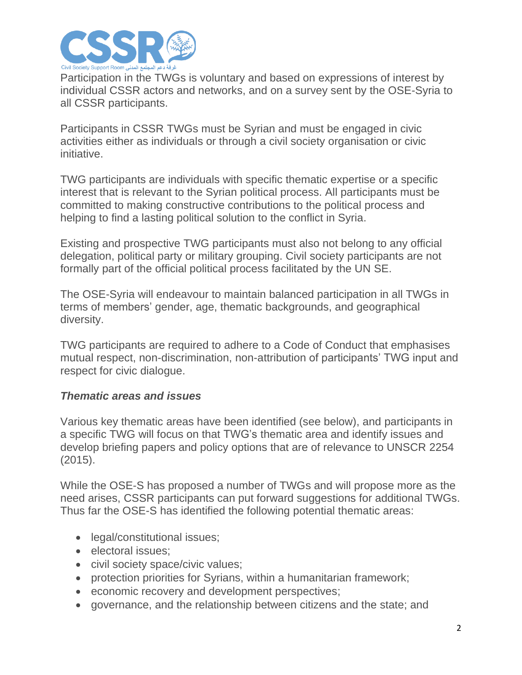

Participation in the TWGs is voluntary and based on expressions of interest by individual CSSR actors and networks, and on a survey sent by the OSE-Syria to all CSSR participants.

Participants in CSSR TWGs must be Syrian and must be engaged in civic activities either as individuals or through a civil society organisation or civic initiative.

TWG participants are individuals with specific thematic expertise or a specific interest that is relevant to the Syrian political process. All participants must be committed to making constructive contributions to the political process and helping to find a lasting political solution to the conflict in Syria.

Existing and prospective TWG participants must also not belong to any official delegation, political party or military grouping. Civil society participants are not formally part of the official political process facilitated by the UN SE.

The OSE-Syria will endeavour to maintain balanced participation in all TWGs in terms of members' gender, age, thematic backgrounds, and geographical diversity.

TWG participants are required to adhere to a Code of Conduct that emphasises mutual respect, non-discrimination, non-attribution of participants' TWG input and respect for civic dialogue.

### *Thematic areas and issues*

Various key thematic areas have been identified (see below), and participants in a specific TWG will focus on that TWG's thematic area and identify issues and develop briefing papers and policy options that are of relevance to UNSCR 2254 (2015).

While the OSE-S has proposed a number of TWGs and will propose more as the need arises, CSSR participants can put forward suggestions for additional TWGs. Thus far the OSE-S has identified the following potential thematic areas:

- legal/constitutional issues;
- electoral issues:
- civil society space/civic values;
- protection priorities for Syrians, within a humanitarian framework;
- economic recovery and development perspectives;
- governance, and the relationship between citizens and the state; and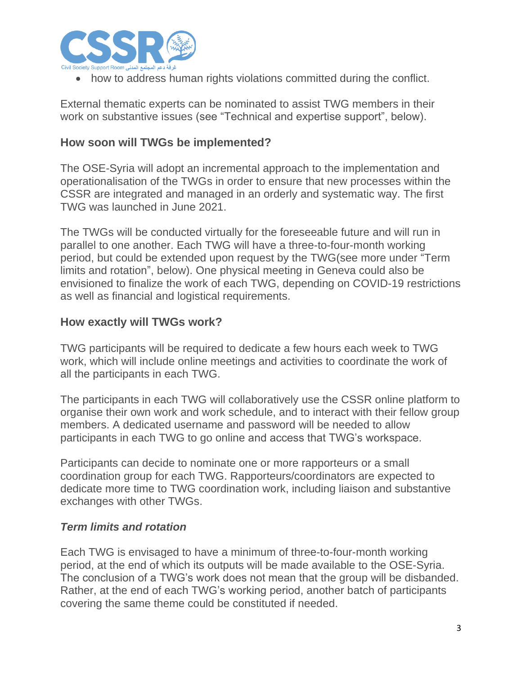

• how to address human rights violations committed during the conflict.

External thematic experts can be nominated to assist TWG members in their work on substantive issues (see "Technical and expertise support", below).

#### **How soon will TWGs be implemented?**

The OSE-Syria will adopt an incremental approach to the implementation and operationalisation of the TWGs in order to ensure that new processes within the CSSR are integrated and managed in an orderly and systematic way. The first TWG was launched in June 2021.

The TWGs will be conducted virtually for the foreseeable future and will run in parallel to one another. Each TWG will have a three-to-four-month working period, but could be extended upon request by the TWG(see more under "Term limits and rotation", below). One physical meeting in Geneva could also be envisioned to finalize the work of each TWG, depending on COVID-19 restrictions as well as financial and logistical requirements.

#### **How exactly will TWGs work?**

TWG participants will be required to dedicate a few hours each week to TWG work, which will include online meetings and activities to coordinate the work of all the participants in each TWG.

The participants in each TWG will collaboratively use the CSSR online platform to organise their own work and work schedule, and to interact with their fellow group members. A dedicated username and password will be needed to allow participants in each TWG to go online and access that TWG's workspace.

Participants can decide to nominate one or more rapporteurs or a small coordination group for each TWG. Rapporteurs/coordinators are expected to dedicate more time to TWG coordination work, including liaison and substantive exchanges with other TWGs.

#### *Term limits and rotation*

Each TWG is envisaged to have a minimum of three-to-four-month working period, at the end of which its outputs will be made available to the OSE-Syria. The conclusion of a TWG's work does not mean that the group will be disbanded. Rather, at the end of each TWG's working period, another batch of participants covering the same theme could be constituted if needed.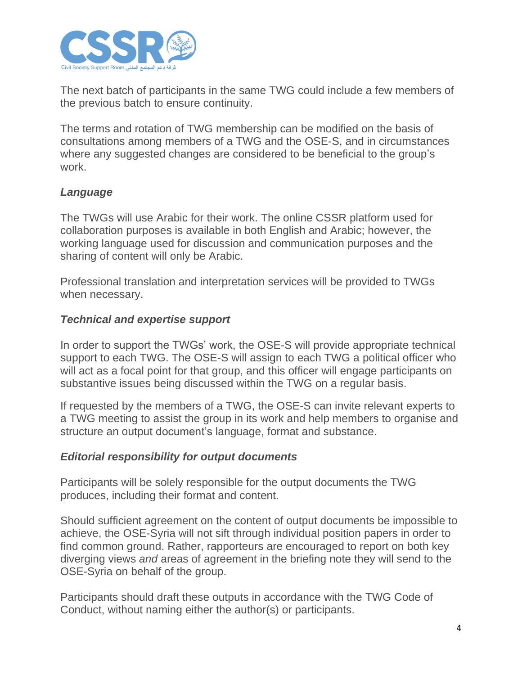

The next batch of participants in the same TWG could include a few members of the previous batch to ensure continuity.

The terms and rotation of TWG membership can be modified on the basis of consultations among members of a TWG and the OSE-S, and in circumstances where any suggested changes are considered to be beneficial to the group's work.

## *Language*

The TWGs will use Arabic for their work. The online CSSR platform used for collaboration purposes is available in both English and Arabic; however, the working language used for discussion and communication purposes and the sharing of content will only be Arabic.

Professional translation and interpretation services will be provided to TWGs when necessary.

## *Technical and expertise support*

In order to support the TWGs' work, the OSE-S will provide appropriate technical support to each TWG. The OSE-S will assign to each TWG a political officer who will act as a focal point for that group, and this officer will engage participants on substantive issues being discussed within the TWG on a regular basis.

If requested by the members of a TWG, the OSE-S can invite relevant experts to a TWG meeting to assist the group in its work and help members to organise and structure an output document's language, format and substance.

### *Editorial responsibility for output documents*

Participants will be solely responsible for the output documents the TWG produces, including their format and content.

Should sufficient agreement on the content of output documents be impossible to achieve, the OSE-Syria will not sift through individual position papers in order to find common ground. Rather, rapporteurs are encouraged to report on both key diverging views *and* areas of agreement in the briefing note they will send to the OSE-Syria on behalf of the group.

Participants should draft these outputs in accordance with the TWG Code of Conduct, without naming either the author(s) or participants.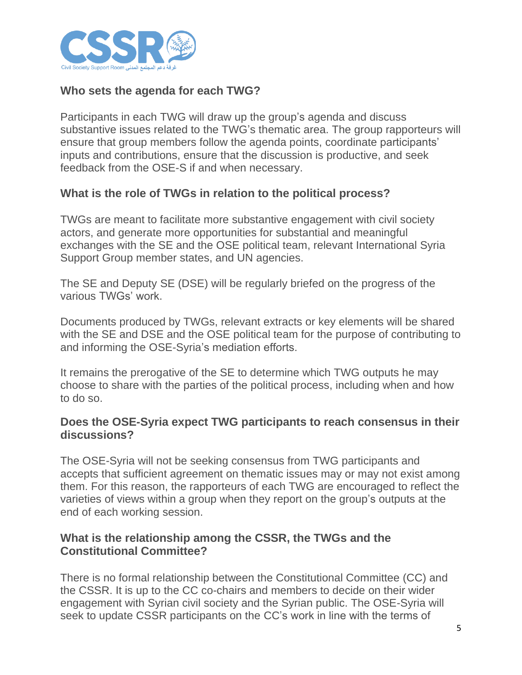

# **Who sets the agenda for each TWG?**

Participants in each TWG will draw up the group's agenda and discuss substantive issues related to the TWG's thematic area. The group rapporteurs will ensure that group members follow the agenda points, coordinate participants' inputs and contributions, ensure that the discussion is productive, and seek feedback from the OSE-S if and when necessary.

# **What is the role of TWGs in relation to the political process?**

TWGs are meant to facilitate more substantive engagement with civil society actors, and generate more opportunities for substantial and meaningful exchanges with the SE and the OSE political team, relevant International Syria Support Group member states, and UN agencies.

The SE and Deputy SE (DSE) will be regularly briefed on the progress of the various TWGs' work.

Documents produced by TWGs, relevant extracts or key elements will be shared with the SE and DSE and the OSE political team for the purpose of contributing to and informing the OSE-Syria's mediation efforts.

It remains the prerogative of the SE to determine which TWG outputs he may choose to share with the parties of the political process, including when and how to do so.

## **Does the OSE-Syria expect TWG participants to reach consensus in their discussions?**

The OSE-Syria will not be seeking consensus from TWG participants and accepts that sufficient agreement on thematic issues may or may not exist among them. For this reason, the rapporteurs of each TWG are encouraged to reflect the varieties of views within a group when they report on the group's outputs at the end of each working session.

## **What is the relationship among the CSSR, the TWGs and the Constitutional Committee?**

There is no formal relationship between the Constitutional Committee (CC) and the CSSR. It is up to the CC co-chairs and members to decide on their wider engagement with Syrian civil society and the Syrian public. The OSE-Syria will seek to update CSSR participants on the CC's work in line with the terms of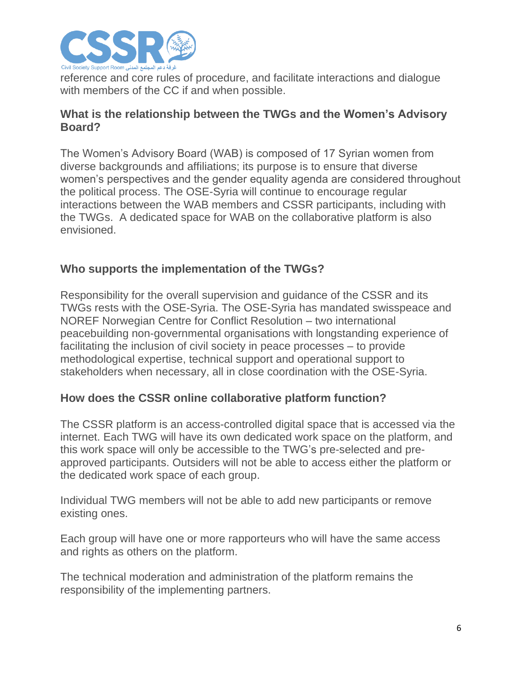

reference and core rules of procedure, and facilitate interactions and dialogue with members of the CC if and when possible.

### **What is the relationship between the TWGs and the Women's Advisory Board?**

The Women's Advisory Board (WAB) is composed of 17 Syrian women from diverse backgrounds and affiliations; its purpose is to ensure that diverse women's perspectives and the gender equality agenda are considered throughout the political process. The OSE-Syria will continue to encourage regular interactions between the WAB members and CSSR participants, including with the TWGs. A dedicated space for WAB on the collaborative platform is also envisioned.

# **Who supports the implementation of the TWGs?**

Responsibility for the overall supervision and guidance of the CSSR and its TWGs rests with the OSE-Syria. The OSE-Syria has mandated swisspeace and NOREF Norwegian Centre for Conflict Resolution – two international peacebuilding non-governmental organisations with longstanding experience of facilitating the inclusion of civil society in peace processes – to provide methodological expertise, technical support and operational support to stakeholders when necessary, all in close coordination with the OSE-Syria.

# **How does the CSSR online collaborative platform function?**

The CSSR platform is an access-controlled digital space that is accessed via the internet. Each TWG will have its own dedicated work space on the platform, and this work space will only be accessible to the TWG's pre-selected and preapproved participants. Outsiders will not be able to access either the platform or the dedicated work space of each group.

Individual TWG members will not be able to add new participants or remove existing ones.

Each group will have one or more rapporteurs who will have the same access and rights as others on the platform.

The technical moderation and administration of the platform remains the responsibility of the implementing partners.